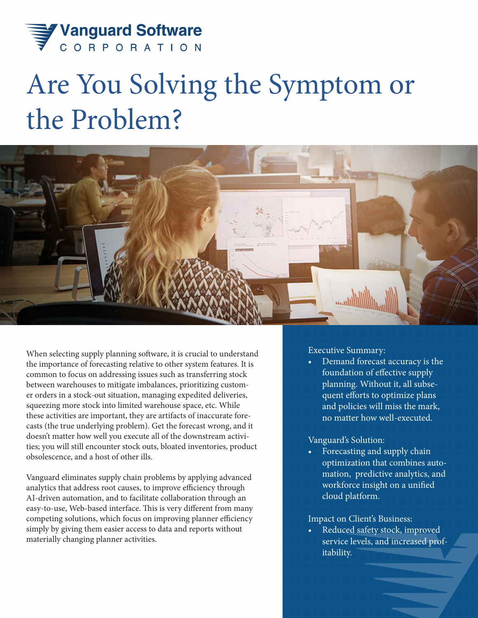

# Are You Solving the Symptom or the Problem?



When selecting supply planning software, it is crucial to understand the importance of forecasting relative to other system features. It is common to focus on addressing issues such as transferring stock between warehouses to mitigate imbalances, prioritizing customer orders in a stock-out situation, managing expedited deliveries, squeezing more stock into limited warehouse space, etc. While these activities are important, they are artifacts of inaccurate forecasts (the true underlying problem). Get the forecast wrong, and it doesn't matter how well you execute all of the downstream activities; you will still encounter stock outs, bloated inventories, product obsolescence, and a host of other ills.

Vanguard eliminates supply chain problems by applying advanced analytics that address root causes, to improve efficiency through AI-driven automation, and to facilitate collaboration through an easy-to-use, Web-based interface. This is very different from many competing solutions, which focus on improving planner efficiency simply by giving them easier access to data and reports without materially changing planner activities.

Executive Summary:

• Demand forecast accuracy is the foundation of effective supply planning. Without it, all subsequent efforts to optimize plans and policies will miss the mark, no matter how well-executed.

#### Vanguard's Solution:

• Forecasting and supply chain optimization that combines automation, predictive analytics, and workforce insight on a unified cloud platform.

#### Impact on Client's Business:

Reduced safety stock, improved service levels, and increased profitability.